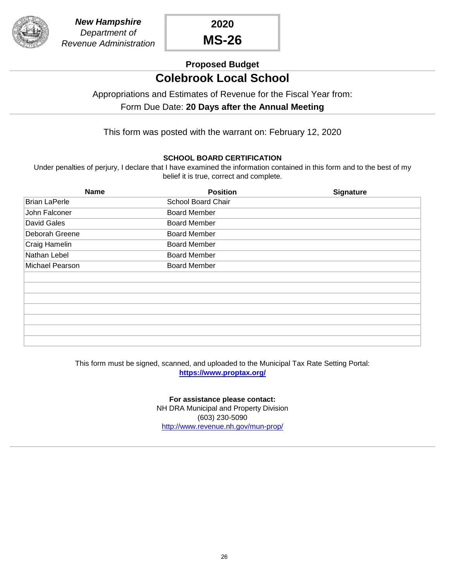

**2020 MS-26**

# **Proposed Budget**

# **Colebrook Local School**

### Appropriations and Estimates of Revenue for the Fiscal Year from:

### Form Due Date: **20 Days after the Annual Meeting**

This form was posted with the warrant on: February 12, 2020

#### **SCHOOL BOARD CERTIFICATION**

Under penalties of perjury, I declare that I have examined the information contained in this form and to the best of my belief it is true, correct and complete.

| <b>Name</b>          | <b>Position</b>     | <b>Signature</b> |
|----------------------|---------------------|------------------|
| <b>Brian LaPerle</b> | School Board Chair  |                  |
| John Falconer        | <b>Board Member</b> |                  |
| David Gales          | <b>Board Member</b> |                  |
| Deborah Greene       | <b>Board Member</b> |                  |
| Craig Hamelin        | <b>Board Member</b> |                  |
| Nathan Lebel         | <b>Board Member</b> |                  |
| Michael Pearson      | <b>Board Member</b> |                  |
|                      |                     |                  |
|                      |                     |                  |
|                      |                     |                  |
|                      |                     |                  |
|                      |                     |                  |
|                      |                     |                  |
|                      |                     |                  |

#### [This form must be signed, scanned, and uploaded to the Municipal Tax Rate Setting Portal:](https://www.proptax.org/) **[h](https://www.proptax.org/)ttps://www.proptax.org/**

**[For assistance please contact:](http://www.revenue.nh.gov/mun-prop/)** [N](http://www.revenue.nh.gov/mun-prop/)H DRA Municipal and Property Division (603) 230-5090 [h](http://www.revenue.nh.gov/mun-prop/)ttp://www.revenue.nh.gov/mun-prop/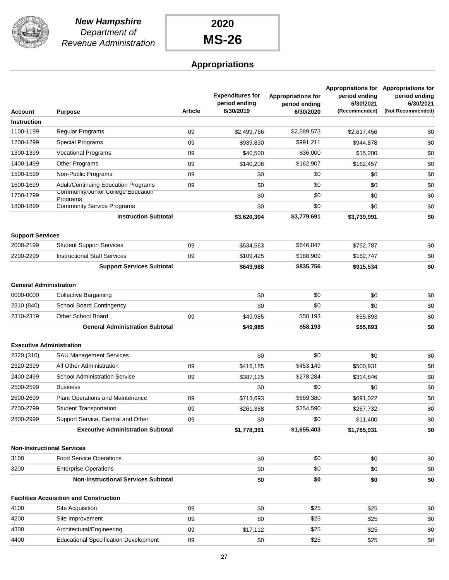

## **Appropriations**

| Account                         | <b>Purpose</b>                                 | <b>Article</b> | <b>Expenditures for</b><br>period ending<br>6/30/2019 | <b>Appropriations for</b><br>period ending<br>6/30/2020 | period ending<br>6/30/2021<br>(Recommended) | Appropriations for Appropriations for<br>period ending<br>6/30/2021<br>(Not Recommended) |
|---------------------------------|------------------------------------------------|----------------|-------------------------------------------------------|---------------------------------------------------------|---------------------------------------------|------------------------------------------------------------------------------------------|
| <b>Instruction</b>              |                                                |                |                                                       |                                                         |                                             |                                                                                          |
| 1100-1199                       | Regular Programs                               | 09             | \$2,499,766                                           | \$2,589,573                                             | \$2.617.456                                 | \$0                                                                                      |
| 1200-1299                       | Special Programs                               | 09             | \$939,830                                             | \$991,211                                               | \$944,878                                   | \$0                                                                                      |
| 1300-1399                       | <b>Vocational Programs</b>                     | 09             | \$40,500                                              | \$36,000                                                | \$15,200                                    | \$0                                                                                      |
| 1400-1499                       | Other Programs                                 | 09             | \$140,208                                             | \$162,907                                               | \$162,457                                   | \$0                                                                                      |
| 1500-1599                       | Non-Public Programs                            | 09             | \$0                                                   | \$0                                                     | \$0                                         | \$0                                                                                      |
| 1600-1699                       | Adult/Continuing Education Programs            | 09             | \$0                                                   | \$0                                                     | \$0                                         | \$0                                                                                      |
| 1700-1799                       | Community/Junior College Education             |                | \$0                                                   | \$0                                                     | \$0                                         | \$0                                                                                      |
| 1800-1899                       | Programs<br><b>Community Service Programs</b>  |                | \$0                                                   | \$0                                                     | \$0                                         | \$0                                                                                      |
|                                 | <b>Instruction Subtotal</b>                    |                | \$3,620,304                                           | \$3,779,691                                             | \$3,739,991                                 | \$0                                                                                      |
| <b>Support Services</b>         |                                                |                |                                                       |                                                         |                                             |                                                                                          |
| 2000-2199                       | <b>Student Support Services</b>                | 09             | \$534,563                                             | \$646,847                                               | \$752,787                                   | \$0                                                                                      |
| 2200-2299                       | <b>Instructional Staff Services</b>            | 09             | \$109,425                                             | \$188,909                                               | \$162,747                                   | \$0                                                                                      |
|                                 | <b>Support Services Subtotal</b>               |                | \$643,988                                             | \$835,756                                               | \$915,534                                   | \$0                                                                                      |
| <b>General Administration</b>   |                                                |                |                                                       |                                                         |                                             |                                                                                          |
| 0000-0000                       | <b>Collective Bargaining</b>                   |                | \$0                                                   | \$0                                                     | \$0                                         | \$0                                                                                      |
| 2310 (840)                      | <b>School Board Contingency</b>                |                | \$0                                                   | \$0                                                     | \$0                                         | \$0                                                                                      |
| 2310-2319                       | Other School Board                             | 09             | \$49,985                                              | \$58,193                                                | \$55,893                                    | \$0                                                                                      |
|                                 | <b>General Administration Subtotal</b>         |                | \$49,985                                              | \$58,193                                                | \$55,893                                    | \$0                                                                                      |
| <b>Executive Administration</b> |                                                |                |                                                       |                                                         |                                             |                                                                                          |
| 2320 (310)                      | <b>SAU Management Services</b>                 |                | \$0                                                   | \$0                                                     | \$0                                         | \$0                                                                                      |
| 2320-2399                       | All Other Administration                       | 09             | \$416,185                                             | \$453,149                                               | \$500,931                                   | \$0                                                                                      |
| 2400-2499                       | <b>School Administration Service</b>           | 09             | \$387,125                                             | \$278,284                                               | \$314,846                                   | \$0                                                                                      |
| 2500-2599                       | <b>Business</b>                                |                | \$0                                                   | \$0                                                     | \$0                                         | \$0                                                                                      |
| 2600-2699                       | Plant Operations and Maintenance               | 09             | \$713,693                                             | \$669,380                                               | \$691,022                                   | \$0                                                                                      |
| 2700-2799                       | <b>Student Transportation</b>                  | 09             | \$261,388                                             | \$254,590                                               | \$267,732                                   | \$0                                                                                      |
| 2800-2999                       | Support Service, Central and Other             | 09             | \$0                                                   | \$0                                                     | \$11,400                                    | \$0                                                                                      |
|                                 | <b>Executive Administration Subtotal</b>       |                | \$1,778,391                                           | \$1,655,403                                             | \$1,785,931                                 | \$0                                                                                      |
|                                 | <b>Non-Instructional Services</b>              |                |                                                       |                                                         |                                             |                                                                                          |
| 3100                            | <b>Food Service Operations</b>                 |                | \$0                                                   | \$0                                                     | \$0                                         | \$0                                                                                      |
| 3200                            | <b>Enterprise Operations</b>                   |                | \$0                                                   | \$0                                                     | \$0                                         | \$0                                                                                      |
|                                 | <b>Non-Instructional Services Subtotal</b>     |                | \$0                                                   | \$0                                                     | \$0                                         | \$0                                                                                      |
|                                 | <b>Facilities Acquisition and Construction</b> |                |                                                       |                                                         |                                             |                                                                                          |
| 4100                            | Site Acquisition                               | 09             | \$0                                                   | \$25                                                    | \$25                                        | \$0                                                                                      |
| 4200                            | Site Improvement                               | 09             | \$0                                                   | \$25                                                    | \$25                                        | \$0                                                                                      |
| 4300                            | Architectural/Engineering                      | 09             | \$17,112                                              | \$25                                                    | \$25                                        | \$0                                                                                      |
| 4400                            | <b>Educational Specification Development</b>   | 09             | \$0                                                   | \$25                                                    | \$25                                        | \$0                                                                                      |
|                                 |                                                |                |                                                       |                                                         |                                             |                                                                                          |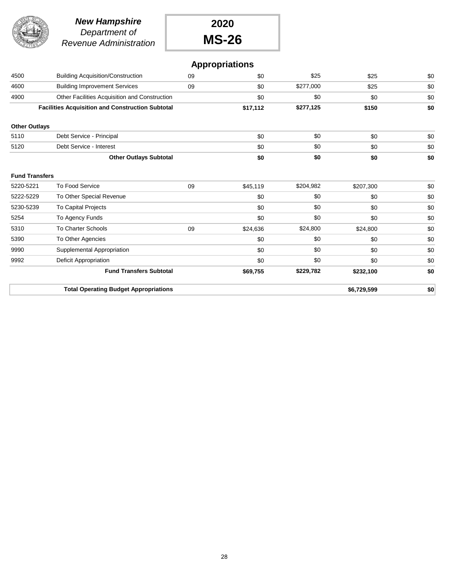

#### *New Hampshire Department of Revenue Administration*

**2020 MS-26**

## **Appropriations**

|                       | <b>Total Operating Budget Appropriations</b>            |    |          |           | \$6,729,599 | \$0 |
|-----------------------|---------------------------------------------------------|----|----------|-----------|-------------|-----|
|                       | <b>Fund Transfers Subtotal</b>                          |    | \$69,755 | \$229,782 | \$232,100   | \$0 |
| 9992                  | Deficit Appropriation                                   |    | \$0      | \$0       | \$0         | \$0 |
| 9990                  | Supplemental Appropriation                              |    | \$0      | \$0       | \$0         | \$0 |
| 5390                  | To Other Agencies                                       |    | \$0      | \$0       | \$0         | \$0 |
| 5310                  | <b>To Charter Schools</b>                               | 09 | \$24,636 | \$24,800  | \$24,800    | \$0 |
| 5254                  | To Agency Funds                                         |    | \$0      | \$0       | \$0         | \$0 |
| 5230-5239             | <b>To Capital Projects</b>                              |    | \$0      | \$0       | \$0         | \$0 |
| 5222-5229             | To Other Special Revenue                                |    | \$0      | \$0       | \$0         | \$0 |
| 5220-5221             | <b>To Food Service</b>                                  | 09 | \$45,119 | \$204,982 | \$207,300   | \$0 |
| <b>Fund Transfers</b> |                                                         |    |          |           |             |     |
|                       | <b>Other Outlays Subtotal</b>                           |    | \$0      | \$0       | \$0         | \$0 |
| 5120                  | Debt Service - Interest                                 |    | \$0      | \$0       | \$0         | \$0 |
| 5110                  | Debt Service - Principal                                |    | \$0      | \$0       | \$0         | \$0 |
| <b>Other Outlays</b>  |                                                         |    |          |           |             |     |
|                       | <b>Facilities Acquisition and Construction Subtotal</b> |    | \$17,112 | \$277,125 | \$150       | \$0 |
| 4900                  | Other Facilities Acquisition and Construction           |    | \$0      | \$0       | \$0         | \$0 |
| 4600                  | <b>Building Improvement Services</b>                    | 09 | \$0      | \$277,000 | \$25        | \$0 |
| 4500                  | <b>Building Acquisition/Construction</b>                | 09 | \$0      | \$25      | \$25        | \$0 |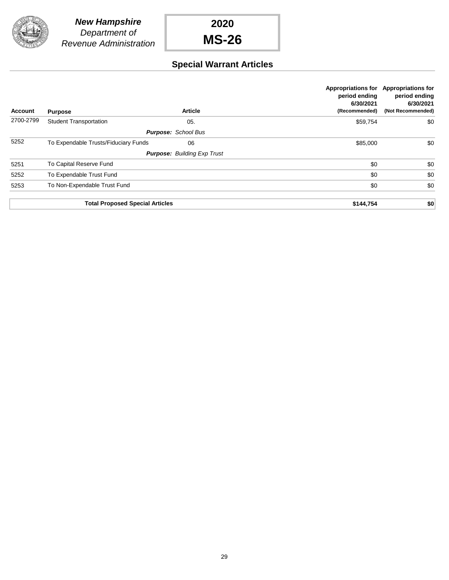

## **Special Warrant Articles**

| <b>Account</b> | <b>Purpose</b>                         | <b>Article</b>                     | <b>Appropriations for</b><br>period ending<br>6/30/2021<br>(Recommended) | <b>Appropriations for</b><br>period ending<br>6/30/2021<br>(Not Recommended) |
|----------------|----------------------------------------|------------------------------------|--------------------------------------------------------------------------|------------------------------------------------------------------------------|
| 2700-2799      | <b>Student Transportation</b>          | 05.                                | \$59,754                                                                 | \$0                                                                          |
|                |                                        | <b>Purpose: School Bus</b>         |                                                                          |                                                                              |
| 5252           | To Expendable Trusts/Fiduciary Funds   | 06                                 | \$85,000                                                                 | \$0                                                                          |
|                |                                        | <b>Purpose: Building Exp Trust</b> |                                                                          |                                                                              |
| 5251           | To Capital Reserve Fund                |                                    | \$0                                                                      | \$0                                                                          |
| 5252           | To Expendable Trust Fund               |                                    | \$0                                                                      | \$0                                                                          |
| 5253           | To Non-Expendable Trust Fund           |                                    | \$0                                                                      | \$0                                                                          |
|                |                                        |                                    |                                                                          |                                                                              |
|                | <b>Total Proposed Special Articles</b> |                                    | \$144,754                                                                | \$0                                                                          |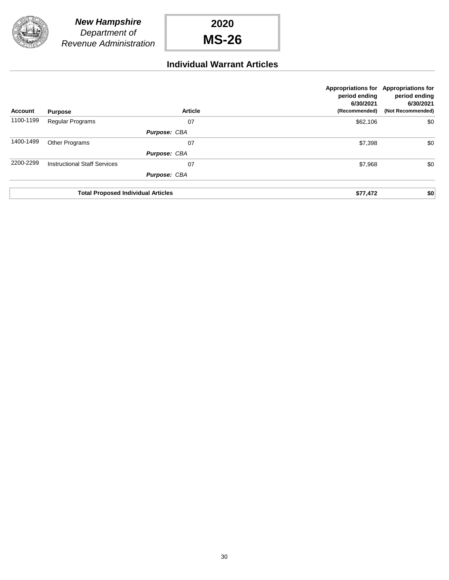

### **Individual Warrant Articles**

| <b>Account</b> | <b>Purpose</b>                            | <b>Article</b>      | period ending<br>6/30/2021<br>(Recommended) | Appropriations for Appropriations for<br>period ending<br>6/30/2021<br>(Not Recommended) |
|----------------|-------------------------------------------|---------------------|---------------------------------------------|------------------------------------------------------------------------------------------|
| 1100-1199      | <b>Regular Programs</b>                   | 07                  | \$62,106                                    | \$0                                                                                      |
|                |                                           | Purpose: CBA        |                                             |                                                                                          |
| 1400-1499      | Other Programs                            | 07                  | \$7,398                                     | \$0                                                                                      |
|                |                                           | <b>Purpose: CBA</b> |                                             |                                                                                          |
| 2200-2299      | <b>Instructional Staff Services</b>       | 07                  | \$7,968                                     | \$0                                                                                      |
|                |                                           | Purpose: CBA        |                                             |                                                                                          |
|                | <b>Total Proposed Individual Articles</b> |                     | \$77,472                                    | \$0                                                                                      |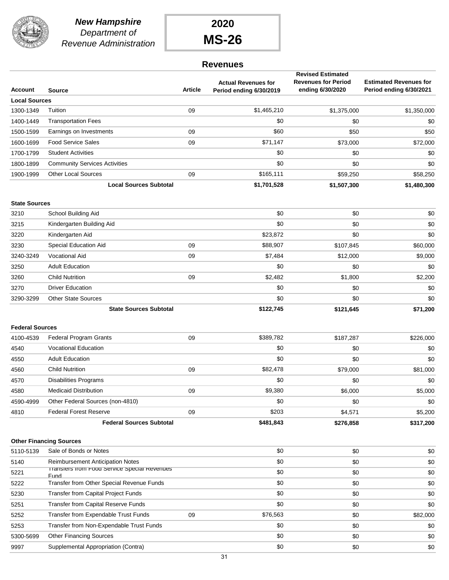

#### *New Hampshire Department of Revenue Administration*

**2020 MS-26**

### **Revenues**

|                        |                                                      |                |                                                       | <b>Revised Estimated</b>                       |                                                          |
|------------------------|------------------------------------------------------|----------------|-------------------------------------------------------|------------------------------------------------|----------------------------------------------------------|
| Account                | <b>Source</b>                                        | <b>Article</b> | <b>Actual Revenues for</b><br>Period ending 6/30/2019 | <b>Revenues for Period</b><br>ending 6/30/2020 | <b>Estimated Revenues for</b><br>Period ending 6/30/2021 |
| <b>Local Sources</b>   |                                                      |                |                                                       |                                                |                                                          |
| 1300-1349              | Tuition                                              | 09             | \$1,465,210                                           | \$1,375,000                                    | \$1,350,000                                              |
| 1400-1449              | <b>Transportation Fees</b>                           |                | \$0                                                   | \$0                                            | \$0                                                      |
| 1500-1599              | Earnings on Investments                              | 09             | \$60                                                  | \$50                                           | \$50                                                     |
| 1600-1699              | <b>Food Service Sales</b>                            | 09             | \$71,147                                              | \$73,000                                       | \$72,000                                                 |
| 1700-1799              | <b>Student Activities</b>                            |                | \$0                                                   | \$0                                            | \$0                                                      |
| 1800-1899              | <b>Community Services Activities</b>                 |                | \$0                                                   | \$0                                            | \$0                                                      |
| 1900-1999              | <b>Other Local Sources</b>                           | 09             | \$165,111                                             | \$59,250                                       | \$58,250                                                 |
|                        | <b>Local Sources Subtotal</b>                        |                | \$1,701,528                                           | \$1,507,300                                    | \$1,480,300                                              |
| <b>State Sources</b>   |                                                      |                |                                                       |                                                |                                                          |
| 3210                   | School Building Aid                                  |                | \$0                                                   | \$0                                            | \$0                                                      |
| 3215                   | Kindergarten Building Aid                            |                | \$0                                                   | \$0                                            | \$0                                                      |
| 3220                   | Kindergarten Aid                                     |                | \$23,872                                              | \$0                                            | \$0                                                      |
| 3230                   | <b>Special Education Aid</b>                         | 09             | \$88,907                                              | \$107,845                                      | \$60,000                                                 |
| 3240-3249              | <b>Vocational Aid</b>                                | 09             | \$7,484                                               | \$12,000                                       | \$9,000                                                  |
| 3250                   | <b>Adult Education</b>                               |                | \$0                                                   | \$0                                            | \$0                                                      |
| 3260                   | <b>Child Nutrition</b>                               | 09             | \$2,482                                               | \$1,800                                        | \$2,200                                                  |
| 3270                   | <b>Driver Education</b>                              |                | \$0                                                   | \$0                                            | \$0                                                      |
| 3290-3299              | <b>Other State Sources</b>                           |                | \$0                                                   | \$0                                            | \$0                                                      |
|                        | <b>State Sources Subtotal</b>                        |                | \$122,745                                             | \$121,645                                      | \$71,200                                                 |
|                        |                                                      |                |                                                       |                                                |                                                          |
| <b>Federal Sources</b> |                                                      |                |                                                       |                                                |                                                          |
| 4100-4539              | <b>Federal Program Grants</b>                        | 09             | \$389,782                                             | \$187,287                                      | \$226,000                                                |
| 4540                   | <b>Vocational Education</b>                          |                | \$0                                                   | \$0                                            | \$0                                                      |
| 4550                   | <b>Adult Education</b>                               |                | \$0                                                   | \$0                                            | \$0                                                      |
| 4560                   | <b>Child Nutrition</b>                               | 09             | \$82,478                                              | \$79,000                                       | \$81,000                                                 |
| 4570                   | <b>Disabilities Programs</b>                         |                | \$0                                                   | \$0                                            | \$0                                                      |
| 4580                   | <b>Medicaid Distribution</b>                         | 09             | \$9,380                                               | \$6,000                                        | \$5,000                                                  |
| 4590-4999              | Other Federal Sources (non-4810)                     |                | \$0                                                   | \$0                                            | \$0                                                      |
| 4810                   | <b>Federal Forest Reserve</b>                        | 09             | \$203                                                 | \$4,571                                        | \$5,200                                                  |
|                        | <b>Federal Sources Subtotal</b>                      |                | \$481,843                                             | \$276,858                                      | \$317,200                                                |
|                        | <b>Other Financing Sources</b>                       |                |                                                       |                                                |                                                          |
| 5110-5139              | Sale of Bonds or Notes                               |                | \$0                                                   | \$0                                            | \$0                                                      |
| 5140                   | <b>Reimbursement Anticipation Notes</b>              |                | \$0                                                   | \$0                                            | \$0                                                      |
| 5221                   | Transfers from Food Service Special Revenues<br>Fund |                | \$0                                                   | \$0                                            | \$0                                                      |
| 5222                   | Transfer from Other Special Revenue Funds            |                | \$0                                                   | \$0                                            | \$0                                                      |
| 5230                   | Transfer from Capital Project Funds                  |                | \$0                                                   | \$0                                            | \$0                                                      |
| 5251                   | Transfer from Capital Reserve Funds                  |                | \$0                                                   | \$0                                            | \$0                                                      |
| 5252                   | Transfer from Expendable Trust Funds                 | 09             | \$76,563                                              | \$0                                            | \$82,000                                                 |
| 5253                   | Transfer from Non-Expendable Trust Funds             |                | \$0                                                   | \$0                                            | \$0                                                      |
| 5300-5699              | <b>Other Financing Sources</b>                       |                | \$0                                                   | \$0                                            | \$0                                                      |
| 9997                   | Supplemental Appropriation (Contra)                  |                | \$0                                                   | \$0                                            | \$0                                                      |
|                        |                                                      |                |                                                       |                                                |                                                          |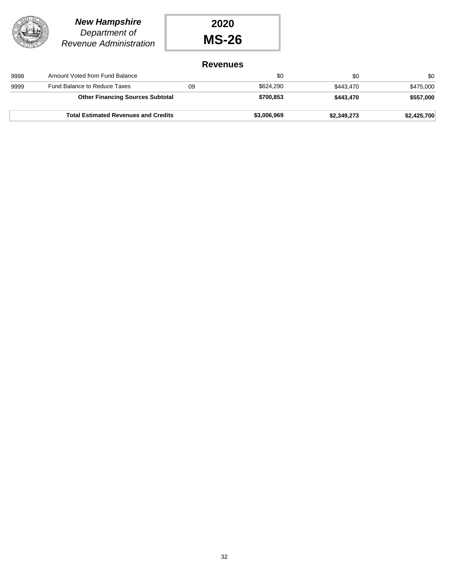

### *New Hampshire Department of Revenue Administration*



### **Revenues**

|      | <b>Total Estimated Revenues and Credits</b> |    | \$3,006,969 | \$2,349,273 | \$2,425,700 |
|------|---------------------------------------------|----|-------------|-------------|-------------|
|      | <b>Other Financing Sources Subtotal</b>     |    | \$700,853   | \$443.470   | \$557,000   |
| 9999 | Fund Balance to Reduce Taxes                | 09 | \$624.290   | \$443.470   | \$475,000   |
| 9998 | Amount Voted from Fund Balance              |    | \$0         | \$0         | \$0         |